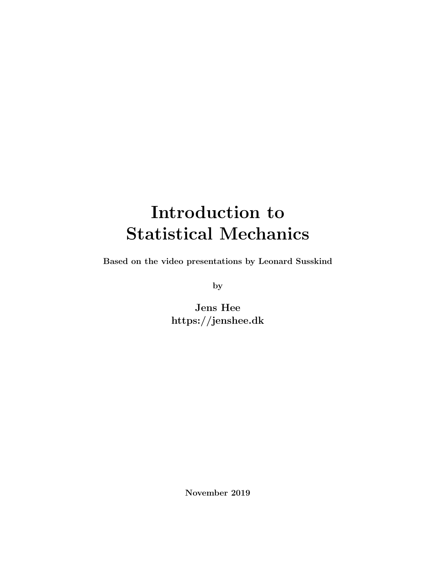# Introduction to Statistical Mechanics

Based on the video presentations by Leonard Susskind

by

Jens Hee https://jenshee.dk

November 2019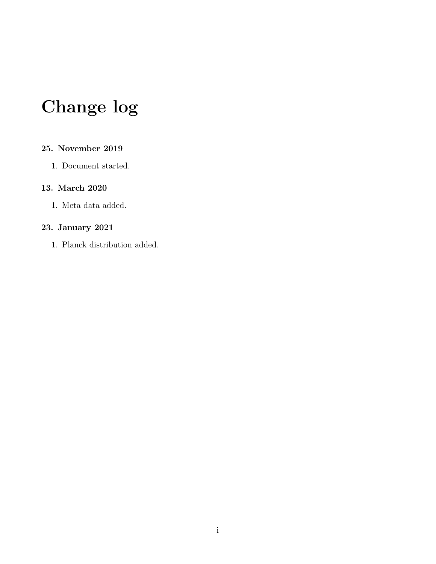# Change log

#### 25. November 2019

1. Document started.

#### 13. March 2020

1. Meta data added.

#### 23. January 2021

1. Planck distribution added.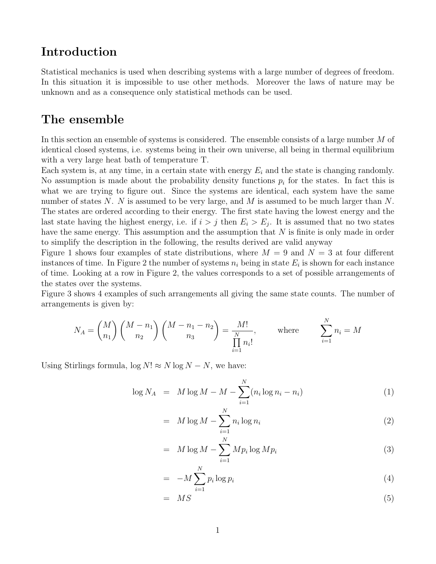## Introduction

Statistical mechanics is used when describing systems with a large number of degrees of freedom. In this situation it is impossible to use other methods. Moreover the laws of nature may be unknown and as a consequence only statistical methods can be used.

## The ensemble

In this section an ensemble of systems is considered. The ensemble consists of a large number M of identical closed systems, i.e. systems being in their own universe, all being in thermal equilibrium with a very large heat bath of temperature T.

Each system is, at any time, in a certain state with energy  $E_i$  and the state is changing randomly. No assumption is made about the probability density functions  $p_i$  for the states. In fact this is what we are trying to figure out. Since the systems are identical, each system have the same number of states N. N is assumed to be very large, and M is assumed to be much larger than  $N$ . The states are ordered according to their energy. The first state having the lowest energy and the last state having the highest energy, i.e. if  $i > j$  then  $E_i > E_j$ . It is assumed that no two states have the same energy. This assumption and the assumption that  $N$  is finite is only made in order to simplify the description in the following, the results derived are valid anyway

Figure [1](#page-3-0) shows four examples of state distributions, where  $M = 9$  and  $N = 3$  at four different instances of time. In Figure [2](#page-3-1) the number of systems  $n_i$  being in state  $E_i$  is shown for each instance of time. Looking at a row in Figure [2,](#page-3-1) the values corresponds to a set of possible arrangements of the states over the systems.

Figure [3](#page-3-2) shows 4 examples of such arrangements all giving the same state counts. The number of arrangements is given by:

$$
N_A = \binom{M}{n_1} \binom{M - n_1}{n_2} \binom{M - n_1 - n_2}{n_3} = \frac{M!}{\prod_{i=1}^N n_i!}, \quad \text{where} \quad \sum_{i=1}^N n_i = M
$$

Using Stirlings formula,  $\log N! \approx N \log N - N$ , we have:

$$
\log N_A = M \log M - M - \sum_{i=1}^{N} (n_i \log n_i - n_i)
$$
 (1)

$$
= M \log M - \sum_{i=1}^{N} n_i \log n_i \tag{2}
$$

$$
= M \log M - \sum_{i=1}^{N} M p_i \log M p_i \tag{3}
$$

$$
= -M \sum_{i=1}^{N} p_i \log p_i \tag{4}
$$

$$
= MS \tag{5}
$$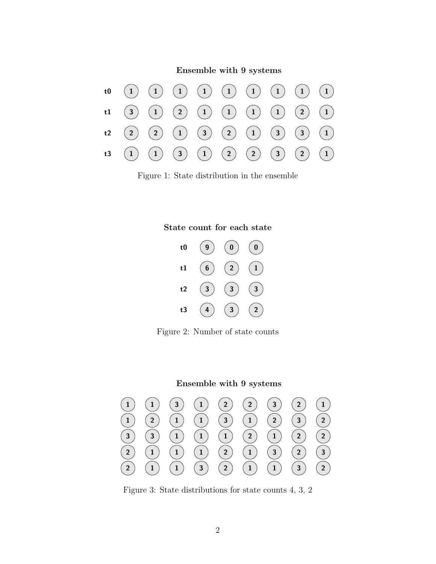Ensemble with 9 systems



<span id="page-3-0"></span>Figure 1: State distribution in the ensemble



<span id="page-3-1"></span>Figure 2: Number of state counts

#### Ensemble with 9 systems



<span id="page-3-2"></span>Figure 3: State distributions for state counts 4, 3, 2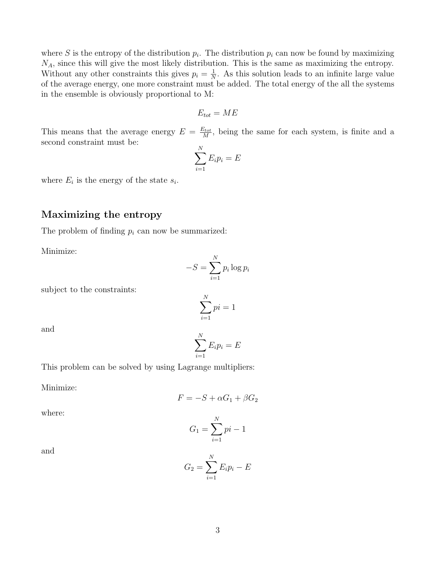where S is the entropy of the distribution  $p_i$ . The distribution  $p_i$  can now be found by maximizing  $N_A$ , since this will give the most likely distribution. This is the same as maximizing the entropy. Without any other constraints this gives  $p_i = \frac{1}{N}$  $\frac{1}{N}$ . As this solution leads to an infinite large value of the average energy, one more constraint must be added. The total energy of the all the systems in the ensemble is obviously proportional to M:

$$
E_{tot} = ME
$$

This means that the average energy  $E = \frac{E_{tot}}{M}$  $\frac{\partial^2 \mathbf{t} \mathbf{t}}{M}$ , being the same for each system, is finite and a second constraint must be:

$$
\sum_{i=1}^{N} E_i p_i = E
$$

where  $E_i$  is the energy of the state  $s_i$ .

#### Maximizing the entropy

The problem of finding  $p_i$  can now be summarized:

Minimize:

$$
-S = \sum_{i=1}^{N} p_i \log p_i
$$

subject to the constraints:

$$
\sum_{i=1}^{N}pi = 1
$$

and

$$
\sum_{i=1}^N E_i p_i = E
$$

This problem can be solved by using Lagrange multipliers:

Minimize:

$$
F = -S + \alpha G_1 + \beta G_2
$$

where:

$$
G_1 = \sum_{i=1}^{N} pi - 1
$$

and

$$
G_2 = \sum_{i=1}^N E_i p_i - E
$$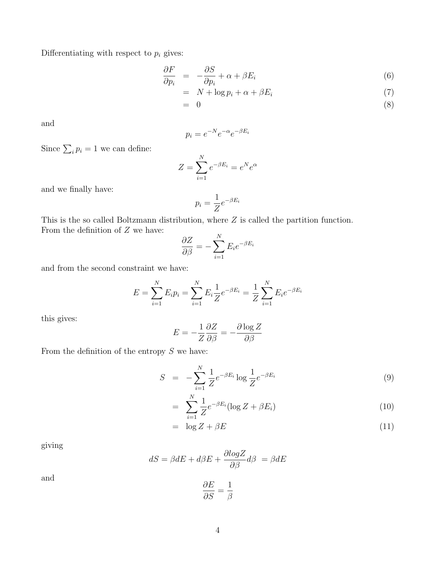Differentiating with respect to  $p_i$  gives:

$$
\frac{\partial F}{\partial p_i} = -\frac{\partial S}{\partial p_i} + \alpha + \beta E_i \tag{6}
$$

$$
= N + \log p_i + \alpha + \beta E_i \tag{7}
$$

$$
= 0 \tag{8}
$$

and

$$
p_i = e^{-N}e^{-\alpha}e^{-\beta E_i}
$$

Since  $\sum_i p_i = 1$  we can define:

$$
Z = \sum_{i=1}^{N} e^{-\beta E_i} = e^N e^{\alpha}
$$

and we finally have:

$$
p_i = \frac{1}{Z} e^{-\beta E_i}
$$

This is the so called Boltzmann distribution, where Z is called the partition function. From the definition of  $Z$  we have:

$$
\frac{\partial Z}{\partial \beta} = -\sum_{i=1}^{N} E_i e^{-\beta E_i}
$$

and from the second constraint we have:

$$
E = \sum_{i=1}^{N} E_i p_i = \sum_{i=1}^{N} E_i \frac{1}{Z} e^{-\beta E_i} = \frac{1}{Z} \sum_{i=1}^{N} E_i e^{-\beta E_i}
$$

this gives:

$$
E = -\frac{1}{Z} \frac{\partial Z}{\partial \beta} = -\frac{\partial \log Z}{\partial \beta}
$$

From the definition of the entropy  $S$  we have:

$$
S = -\sum_{i=1}^{N} \frac{1}{Z} e^{-\beta E_i} \log \frac{1}{Z} e^{-\beta E_i}
$$
 (9)

$$
= \sum_{i=1}^{N} \frac{1}{Z} e^{-\beta E_i} (\log Z + \beta E_i)
$$
 (10)

$$
= \log Z + \beta E \tag{11}
$$

giving

$$
dS = \beta dE + d\beta E + \frac{\partial logZ}{\partial \beta} d\beta = \beta dE
$$

and

$$
\frac{\partial E}{\partial S} = \frac{1}{\beta}
$$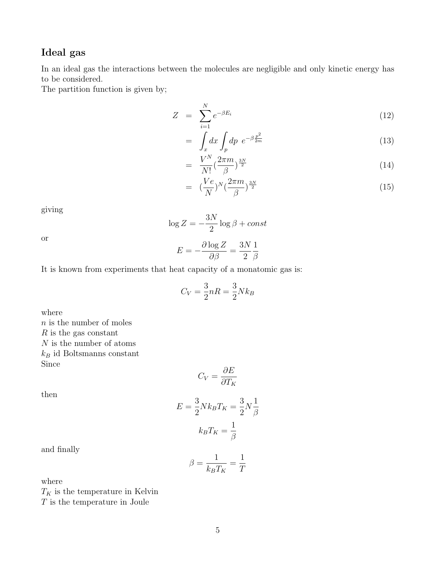## Ideal gas

In an ideal gas the interactions between the molecules are negligible and only kinetic energy has to be considered.

The partition function is given by;

$$
Z = \sum_{i=1}^{N} e^{-\beta E_i} \tag{12}
$$

$$
= \int_x dx \int_p dp \ e^{-\beta \frac{p^2}{2m}} \tag{13}
$$

$$
= \frac{V^N}{N!} \left(\frac{2\pi m}{\beta}\right)^{\frac{3N}{2}} \tag{14}
$$

$$
= \left(\frac{Ve}{N}\right)^N \left(\frac{2\pi m}{\beta}\right)^{\frac{3N}{2}} \tag{15}
$$

giving

 $\log Z = -\frac{3N}{2}$ 2  $\log \beta + const$ 

or

$$
E = -\frac{\partial \log Z}{\partial \beta} = \frac{3N}{2} \frac{1}{\beta}
$$

It is known from experiments that heat capacity of a monatomic gas is:

$$
C_V = \frac{3}{2}nR = \frac{3}{2}Nk_B
$$

where

 $n$  is the number of moles  $R$  is the gas constant  $\boldsymbol{N}$  is the number of atoms  $k_B$  id Boltsmanns constant Since

$$
C_V = \frac{\partial E}{\partial T_K}
$$

then

$$
E = \frac{3}{2} N k_B T_K = \frac{3}{2} N \frac{1}{\beta}
$$

$$
k_B T_K = \frac{1}{\beta}
$$

and finally

$$
\beta = \frac{1}{k_B T_K} = \frac{1}{T}
$$

where

 ${\cal T}_K$  is the temperature in Kelvin  $\cal T$  is the temperature in Joule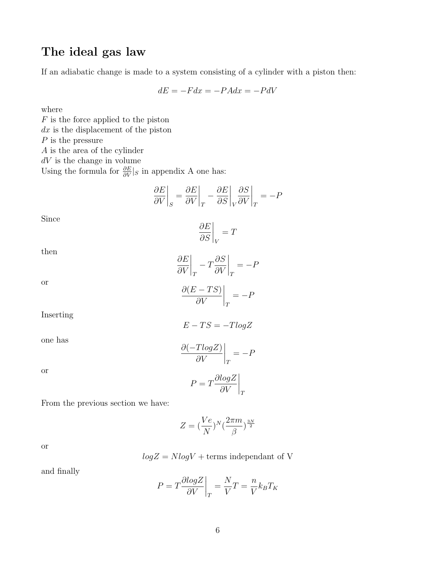# The ideal gas law

If an adiabatic change is made to a system consisting of a cylinder with a piston then:

$$
dE = -Fdx = -PAdx = -PdV
$$

where

 $F$  is the force applied to the piston  $dx$  is the displacement of the piston  $P$  is the pressure A is the area of the cylinder  $dV$  is the change in volume Using the formula for  $\frac{\partial E}{\partial V}|_S$  in appendix A one has:

$$
\left.\frac{\partial E}{\partial V}\right|_S = \left.\frac{\partial E}{\partial V}\right|_T - \left.\frac{\partial E}{\partial S}\right|_V \left.\frac{\partial S}{\partial V}\right|_T = -P
$$

Since

$$
\left. \frac{\partial E}{\partial S} \right|_V = T
$$

then

$$
\left. \frac{\partial E}{\partial V} \right|_T - T \frac{\partial S}{\partial V} \right|_T = -P
$$

 $\Bigg \vert_T$ 

 $=-P$ 

or

Inserting

 $E - TS = -TlogZ$ 

 $\partial (E - TS)$ ∂V

one has

$$
\left. \frac{\partial (-T log Z)}{\partial V} \right|_T = -P
$$

or

$$
P = T \frac{\partial logZ}{\partial V}\bigg|_T
$$

From the previous section we have:

$$
Z = (\frac{Ve}{N})^N(\frac{2\pi m}{\beta})^{\frac{3N}{2}}
$$

or

$$
log Z = N log V + terms
$$
 independent of V

and finally

$$
P = T \frac{\partial \log Z}{\partial V}\bigg|_{T} = \frac{N}{V}T = \frac{n}{V}k_B T_K
$$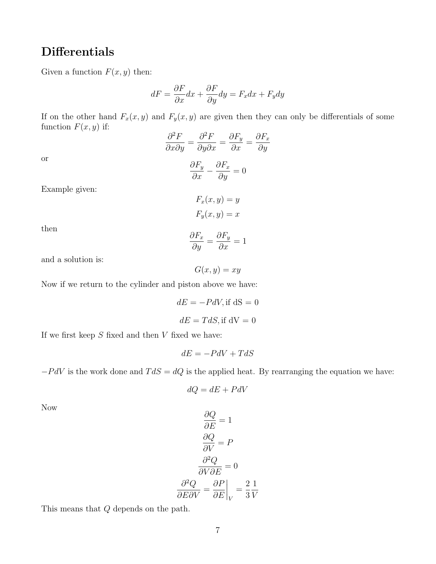# Differentials

Given a function  $F(x, y)$  then:

$$
dF = \frac{\partial F}{\partial x}dx + \frac{\partial F}{\partial y}dy = F_x dx + F_y dy
$$

If on the other hand  $F_x(x, y)$  and  $F_y(x, y)$  are given then they can only be differentials of some function  $F(x, y)$  if:

$$
\frac{\partial^2 F}{\partial x \partial y} = \frac{\partial^2 F}{\partial y \partial x} = \frac{\partial F_y}{\partial x} = \frac{\partial F_x}{\partial y}
$$

 $\frac{\partial^2 f}{\partial y^2} = 0$ 

 $\frac{\partial F_y}{\partial x} - \frac{\partial F_x}{\partial y}$ 

or

Example given:

$$
F_x(x, y) = y
$$

$$
F_y(x, y) = x
$$

then

$$
\frac{\partial F_x}{\partial y} = \frac{\partial F_y}{\partial x} = 1
$$

 $G(x, y) = xy$ 

and a solution is:

Now if we return to the cylinder and piston above we have:

$$
dE = -PdV, \text{if } dS = 0
$$

$$
dE = TdS, \text{if } dV = 0
$$

If we first keep  $S$  fixed and then  $V$  fixed we have:

$$
dE = -PdV + TdS
$$

 $-PdV$  is the work done and  $TdS = dQ$  is the applied heat. By rearranging the equation we have:

$$
dQ=dE+PdV
$$

Now

$$
\frac{\partial Q}{\partial E} = 1
$$

$$
\frac{\partial Q}{\partial V} = P
$$

$$
\frac{\partial^2 Q}{\partial V \partial E} = 0
$$

$$
\frac{\partial^2 Q}{\partial E \partial V} = \frac{\partial P}{\partial E}\Big|_{V} = \frac{2}{3}\frac{1}{V}
$$

This means that Q depends on the path.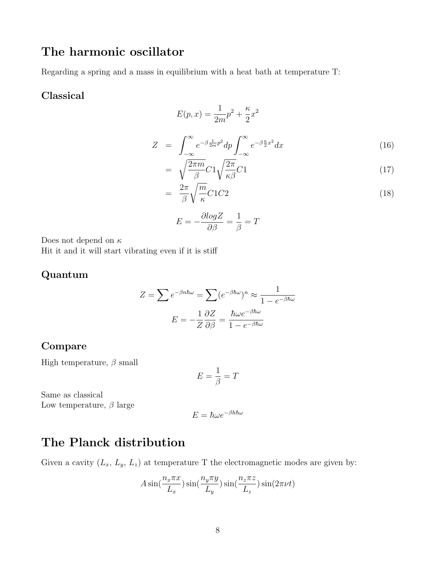## The harmonic oscillator

Regarding a spring and a mass in equilibrium with a heat bath at temperature T:

#### Classical

$$
E(p,x) = \frac{1}{2m}p^2 + \frac{\kappa}{2}x^2
$$
  

$$
Z = \int_{-\infty}^{\infty} e^{-\beta \frac{1}{2m}p^2} dp \int_{-\infty}^{\infty} e^{-\beta \frac{\kappa}{2}x^2} dx
$$
 (16)

$$
= \sqrt{\frac{2\pi m}{\beta}} C 1 \sqrt{\frac{2\pi}{\kappa \beta}} C 1 \tag{17}
$$

$$
= \frac{2\pi}{\beta} \sqrt{\frac{m}{\kappa}} C1C2 \tag{18}
$$

$$
E=-\frac{\partial log Z}{\partial \beta}=\frac{1}{\beta}=T
$$

Does not depend on  $\kappa$ Hit it and it will start vibrating even if it is stiff

### Quantum

$$
Z = \sum e^{-\beta n \hbar \omega} = \sum (e^{-\beta \hbar \omega})^n \approx \frac{1}{1 - e^{-\beta \hbar \omega}}
$$

$$
E = -\frac{1}{Z} \frac{\partial Z}{\partial \beta} = \frac{\hbar \omega e^{-\beta \hbar \omega}}{1 - e^{-\beta \hbar \omega}}
$$

### Compare

High temperature,  $\beta$  small

$$
E=\frac{1}{\beta}=T
$$

Same as classical Low temperature,  $\beta$  large

$$
E=\hbar\omega e^{-\beta h\hbar\omega}
$$

## The Planck distribution

Given a cavity  $(L_x, L_y, L_z)$  at temperature T the electromagnetic modes are given by:

$$
A\sin(\frac{n_x\pi x}{L_x})\sin(\frac{n_y\pi y}{L_y})\sin(\frac{n_z\pi z}{L_z})\sin(2\pi\nu t)
$$